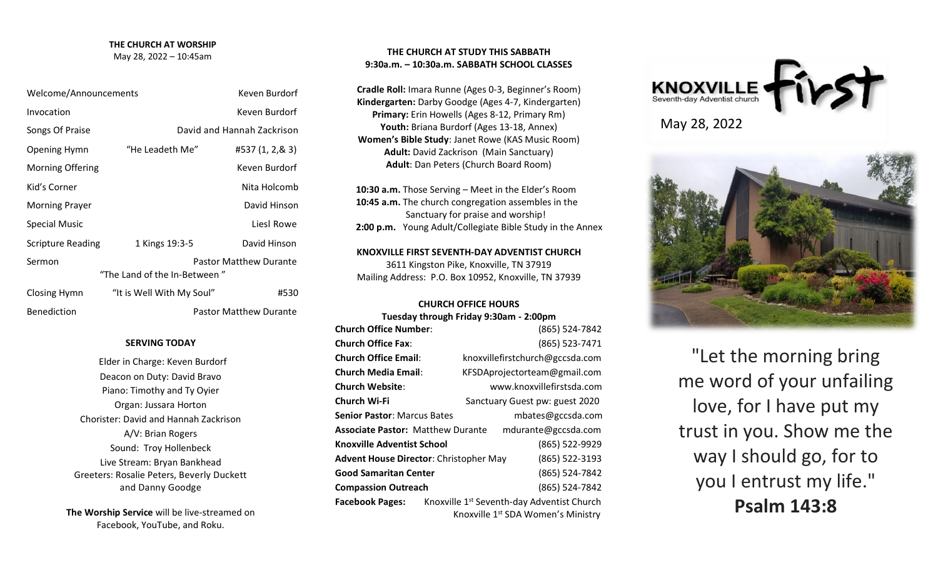# **THE CHURCH AT WORSHIP**

May 28, 2022 – 10:45am

| Welcome/Announcements        |                           | Keven Burdorf                 |
|------------------------------|---------------------------|-------------------------------|
| Invocation                   |                           | Keven Burdorf                 |
| Songs Of Praise              |                           | David and Hannah Zackrison    |
| <b>Opening Hymn</b>          | "He Leadeth Me"           | #537 (1, 2,& 3)               |
| <b>Morning Offering</b>      |                           | Keven Burdorf                 |
| Kid's Corner                 |                           | Nita Holcomb                  |
| <b>Morning Prayer</b>        |                           | David Hinson                  |
| Special Music                |                           | Liesl Rowe                    |
| <b>Scripture Reading</b>     | 1 Kings 19:3-5            | David Hinson                  |
| Sermon                       |                           | <b>Pastor Matthew Durante</b> |
| "The Land of the In-Between" |                           |                               |
| Closing Hymn                 | "It is Well With My Soul" | #530                          |

Benediction **Pastor Matthew Durante** 

**SERVING TODAY**

Elder in Charge: Keven Burdorf Deacon on Duty: David Bravo Piano: Timothy and Ty Oyier Organ: Jussara Horton Chorister: David and Hannah Zackrison A/V: Brian Rogers Sound: Troy Hollenbeck Live Stream: Bryan Bankhead Greeters: Rosalie Peters, Beverly Duckett and Danny Goodge

# **THE CHURCH AT STUDY THIS SABBATH 9:30a.m. – 10:30a.m. SABBATH SCHOOL CLASSES**

**Cradle Roll:** Imara Runne (Ages 0-3, Beginner's Room) **Kindergarten:** Darby Goodge (Ages 4-7, Kindergarten) **Primary:** Erin Howells (Ages 8-12, Primary Rm) **Youth:** Briana Burdorf (Ages 13-18, Annex) **Women's Bible Study**: Janet Rowe (KAS Music Room) **Adult:** David Zackrison (Main Sanctuary) **Adult**: Dan Peters (Church Board Room)

 **10:30 a.m.** Those Serving – Meet in the Elder's Room  **10:45 a.m.** The church congregation assembles in the Sanctuary for praise and worship!  **2:00 p.m.** Young Adult/Collegiate Bible Study in the Annex

**KNOXVILLE FIRST SEVENTH-DAY ADVENTIST CHURCH** 3611 Kingston Pike, Knoxville, TN 37919 Mailing Address: P.O. Box 10952, Knoxville, TN 37939

## **CHURCH OFFICE HOURS**

|                                                                 | Tuesday through Friday 9:30am - 2:00pm |                                                        |  |
|-----------------------------------------------------------------|----------------------------------------|--------------------------------------------------------|--|
| <b>Church Office Number:</b>                                    |                                        | (865) 524-7842                                         |  |
| <b>Church Office Fax:</b>                                       |                                        | (865) 523-7471                                         |  |
| <b>Church Office Email:</b>                                     |                                        | knoxvillefirstchurch@gccsda.com                        |  |
| Church Media Email:                                             |                                        | KFSDAprojectorteam@gmail.com                           |  |
| Church Website:                                                 |                                        | www.knoxvillefirstsda.com                              |  |
| Church Wi-Fi                                                    |                                        | Sanctuary Guest pw: guest 2020                         |  |
| <b>Senior Pastor</b> : Marcus Bates                             |                                        | mbates@gccsda.com                                      |  |
| <b>Associate Pastor: Matthew Durante</b><br>mdurante@gccsda.com |                                        |                                                        |  |
| Knoxville Adventist School                                      |                                        | (865) 522-9929                                         |  |
| Advent House Director: Christopher May                          |                                        | (865) 522-3193                                         |  |
| <b>Good Samaritan Center</b>                                    |                                        | (865) 524-7842                                         |  |
| <b>Compassion Outreach</b>                                      |                                        | (865) 524-7842                                         |  |
| <b>Facebook Pages:</b>                                          |                                        | Knoxville 1 <sup>st</sup> Seventh-day Adventist Church |  |
|                                                                 |                                        | Knoxville 1 <sup>st</sup> SDA Women's Ministry         |  |





"Let the morning bring me word of your unfailing love, for I have put my trust in you. Show me the way I should go, for to you I entrust my life." **Psalm 143:8**

**The Worship Service** will be live-streamed on Facebook, YouTube, and Roku.